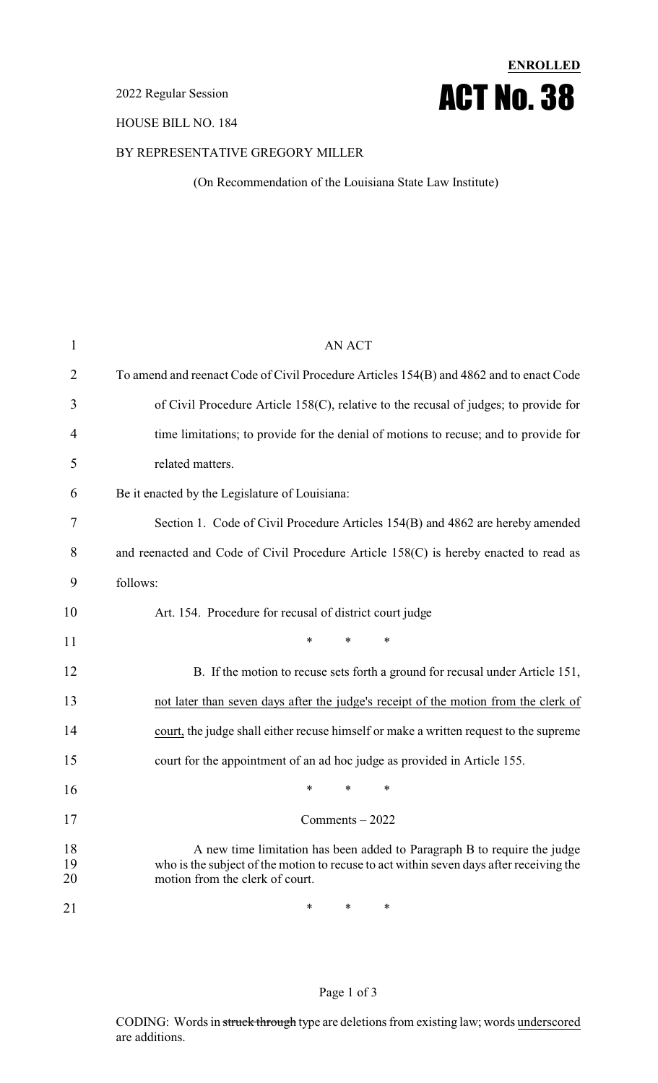#### 2022 Regular Session

#### HOUSE BILL NO. 184

# BY REPRESENTATIVE GREGORY MILLER

(On Recommendation of the Louisiana State Law Institute)

**ENROLLED**

ACT No. 38

| $\mathbf{1}$   | <b>AN ACT</b>                                                                                                                                                                                          |
|----------------|--------------------------------------------------------------------------------------------------------------------------------------------------------------------------------------------------------|
| 2              | To amend and reenact Code of Civil Procedure Articles 154(B) and 4862 and to enact Code                                                                                                                |
| 3              | of Civil Procedure Article 158(C), relative to the recusal of judges; to provide for                                                                                                                   |
| 4              | time limitations; to provide for the denial of motions to recuse; and to provide for                                                                                                                   |
| 5              | related matters.                                                                                                                                                                                       |
| 6              | Be it enacted by the Legislature of Louisiana:                                                                                                                                                         |
| 7              | Section 1. Code of Civil Procedure Articles 154(B) and 4862 are hereby amended                                                                                                                         |
| 8              | and reenacted and Code of Civil Procedure Article 158(C) is hereby enacted to read as                                                                                                                  |
| 9              | follows:                                                                                                                                                                                               |
| 10             | Art. 154. Procedure for recusal of district court judge                                                                                                                                                |
| 11             | *<br>$\ast$<br>∗                                                                                                                                                                                       |
| 12             | B. If the motion to recuse sets forth a ground for recusal under Article 151,                                                                                                                          |
| 13             |                                                                                                                                                                                                        |
|                | not later than seven days after the judge's receipt of the motion from the clerk of                                                                                                                    |
| 14             | court, the judge shall either recuse himself or make a written request to the supreme                                                                                                                  |
| 15             | court for the appointment of an ad hoc judge as provided in Article 155.                                                                                                                               |
| 16             | *<br>*<br>∗                                                                                                                                                                                            |
| 17             | Comments - 2022                                                                                                                                                                                        |
| 18<br>19<br>20 | A new time limitation has been added to Paragraph B to require the judge<br>who is the subject of the motion to recuse to act within seven days after receiving the<br>motion from the clerk of court. |

#### Page 1 of 3

CODING: Words in struck through type are deletions from existing law; words underscored are additions.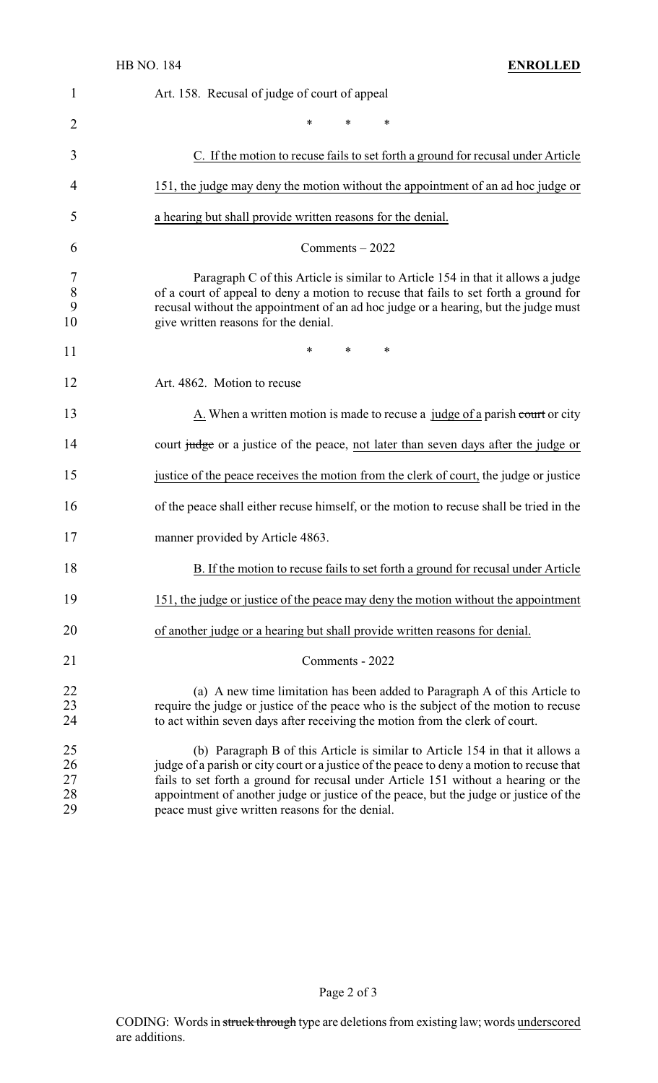| 1                          | Art. 158. Recusal of judge of court of appeal                                                                                                                                                                                                                                                                                                                                                                |
|----------------------------|--------------------------------------------------------------------------------------------------------------------------------------------------------------------------------------------------------------------------------------------------------------------------------------------------------------------------------------------------------------------------------------------------------------|
| 2                          | *<br>$\ast$<br>∗                                                                                                                                                                                                                                                                                                                                                                                             |
| 3                          | C. If the motion to recuse fails to set forth a ground for recusal under Article                                                                                                                                                                                                                                                                                                                             |
| 4                          | 151, the judge may deny the motion without the appointment of an ad hoc judge or                                                                                                                                                                                                                                                                                                                             |
| 5                          | a hearing but shall provide written reasons for the denial.                                                                                                                                                                                                                                                                                                                                                  |
| 6                          | $Comments - 2022$                                                                                                                                                                                                                                                                                                                                                                                            |
| 7<br>$\,8\,$<br>9<br>10    | Paragraph C of this Article is similar to Article 154 in that it allows a judge<br>of a court of appeal to deny a motion to recuse that fails to set forth a ground for<br>recusal without the appointment of an ad hoc judge or a hearing, but the judge must<br>give written reasons for the denial.                                                                                                       |
| 11                         | *<br>$\ast$<br>∗                                                                                                                                                                                                                                                                                                                                                                                             |
| 12                         | Art. 4862. Motion to recuse                                                                                                                                                                                                                                                                                                                                                                                  |
| 13                         | $\underline{A}$ . When a written motion is made to recuse a judge of a parish court or city                                                                                                                                                                                                                                                                                                                  |
| 14                         | court judge or a justice of the peace, not later than seven days after the judge or                                                                                                                                                                                                                                                                                                                          |
| 15                         | justice of the peace receives the motion from the clerk of court, the judge or justice                                                                                                                                                                                                                                                                                                                       |
| 16                         | of the peace shall either recuse himself, or the motion to recuse shall be tried in the                                                                                                                                                                                                                                                                                                                      |
| 17                         | manner provided by Article 4863.                                                                                                                                                                                                                                                                                                                                                                             |
| 18                         | B. If the motion to recuse fails to set forth a ground for recusal under Article                                                                                                                                                                                                                                                                                                                             |
| 19                         | 151, the judge or justice of the peace may deny the motion without the appointment                                                                                                                                                                                                                                                                                                                           |
| 20                         | of another judge or a hearing but shall provide written reasons for denial.                                                                                                                                                                                                                                                                                                                                  |
| 21                         | Comments - 2022                                                                                                                                                                                                                                                                                                                                                                                              |
| 22<br>23<br>24             | (a) A new time limitation has been added to Paragraph A of this Article to<br>require the judge or justice of the peace who is the subject of the motion to recuse<br>to act within seven days after receiving the motion from the clerk of court.                                                                                                                                                           |
| 25<br>26<br>27<br>28<br>29 | (b) Paragraph B of this Article is similar to Article 154 in that it allows a<br>judge of a parish or city court or a justice of the peace to deny a motion to recuse that<br>fails to set forth a ground for recusal under Article 151 without a hearing or the<br>appointment of another judge or justice of the peace, but the judge or justice of the<br>peace must give written reasons for the denial. |